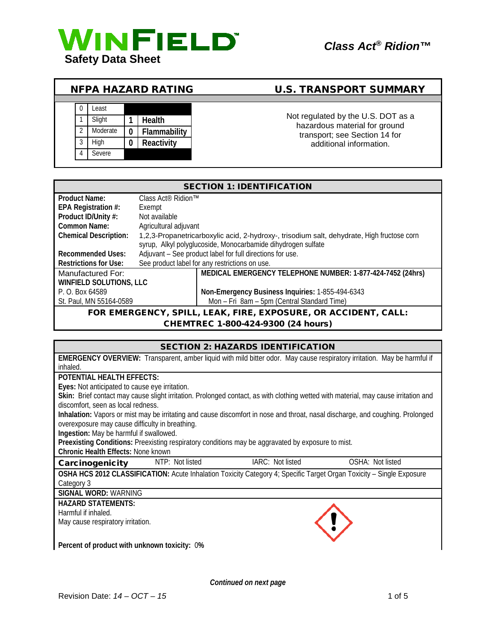

# NFPA HAZARD RATING U.S. TRANSPORT SUMMARY



Not regulated by the U.S. DOT as a hazardous material for ground transport; see Section 14 for additional information.

| <b>SECTION 1: IDENTIFICATION</b>                               |                                                                                            |                                                            |  |
|----------------------------------------------------------------|--------------------------------------------------------------------------------------------|------------------------------------------------------------|--|
| <b>Product Name:</b>                                           | Class Act <sup>®</sup> Ridion <sup>™</sup>                                                 |                                                            |  |
| EPA Registration #:                                            | Exempt                                                                                     |                                                            |  |
| Product ID/Unity #:                                            | Not available                                                                              |                                                            |  |
| Common Name:                                                   | Agricultural adjuvant                                                                      |                                                            |  |
| <b>Chemical Description:</b>                                   | 1,2,3-Propanetricarboxylic acid, 2-hydroxy-, trisodium salt, dehydrate, High fructose corn |                                                            |  |
|                                                                | syrup, Alkyl polyglucoside, Monocarbamide dihydrogen sulfate                               |                                                            |  |
| <b>Recommended Uses:</b>                                       | Adjuvant - See product label for full directions for use.                                  |                                                            |  |
| <b>Restrictions for Use:</b>                                   | See product label for any restrictions on use.                                             |                                                            |  |
| Manufactured For:                                              |                                                                                            | MEDICAL EMERGENCY TELEPHONE NUMBER: 1-877-424-7452 (24hrs) |  |
| WINFIELD SOLUTIONS, LLC                                        |                                                                                            |                                                            |  |
| P. O. Box 64589                                                |                                                                                            | Non-Emergency Business Inquiries: 1-855-494-6343           |  |
| St. Paul, MN 55164-0589                                        |                                                                                            | Mon - Fri 8am - 5pm (Central Standard Time)                |  |
| FOR EMERGENCY, SPILL, LEAK, FIRE, EXPOSURE, OR ACCIDENT, CALL: |                                                                                            |                                                            |  |

## CHEMTREC 1-800-424-9300 (24 hours)

| <b>SECTION 2: HAZARDS IDENTIFICATION</b>        |  |                                                                                                                      |                                                                                                                                     |
|-------------------------------------------------|--|----------------------------------------------------------------------------------------------------------------------|-------------------------------------------------------------------------------------------------------------------------------------|
|                                                 |  |                                                                                                                      | <b>EMERGENCY OVERVIEW:</b> Transparent, amber liquid with mild bitter odor. May cause respiratory irritation. May be harmful if     |
| inhaled.                                        |  |                                                                                                                      |                                                                                                                                     |
| <b>POTENTIAL HEALTH EFFECTS:</b>                |  |                                                                                                                      |                                                                                                                                     |
| Eyes: Not anticipated to cause eye irritation.  |  |                                                                                                                      |                                                                                                                                     |
|                                                 |  |                                                                                                                      | Skin: Brief contact may cause slight irritation. Prolonged contact, as with clothing wetted with material, may cause irritation and |
| discomfort, seen as local redness.              |  |                                                                                                                      |                                                                                                                                     |
|                                                 |  |                                                                                                                      | Inhalation: Vapors or mist may be irritating and cause discomfort in nose and throat, nasal discharge, and coughing. Prolonged      |
| overexposure may cause difficulty in breathing. |  |                                                                                                                      |                                                                                                                                     |
| Ingestion: May be harmful if swallowed.         |  |                                                                                                                      |                                                                                                                                     |
|                                                 |  | Preexisting Conditions: Preexisting respiratory conditions may be aggravated by exposure to mist.                    |                                                                                                                                     |
| <b>Chronic Health Effects: None known</b>       |  |                                                                                                                      |                                                                                                                                     |
| <b>Carcinogenicity</b> NTP: Not listed          |  | IARC: Not listed                                                                                                     | OSHA: Not listed                                                                                                                    |
|                                                 |  | OSHA HCS 2012 CLASSIFICATION: Acute Inhalation Toxicity Category 4; Specific Target Organ Toxicity - Single Exposure |                                                                                                                                     |
| Category 3                                      |  |                                                                                                                      |                                                                                                                                     |
| <b>SIGNAL WORD: WARNING</b>                     |  |                                                                                                                      |                                                                                                                                     |
| <b>HAZARD STATEMENTS:</b>                       |  |                                                                                                                      |                                                                                                                                     |
| Harmful if inhaled.                             |  |                                                                                                                      |                                                                                                                                     |
| May cause respiratory irritation.               |  |                                                                                                                      |                                                                                                                                     |
|                                                 |  |                                                                                                                      |                                                                                                                                     |
| Percent of product with unknown toxicity: 0%    |  |                                                                                                                      |                                                                                                                                     |

*Continued on next page*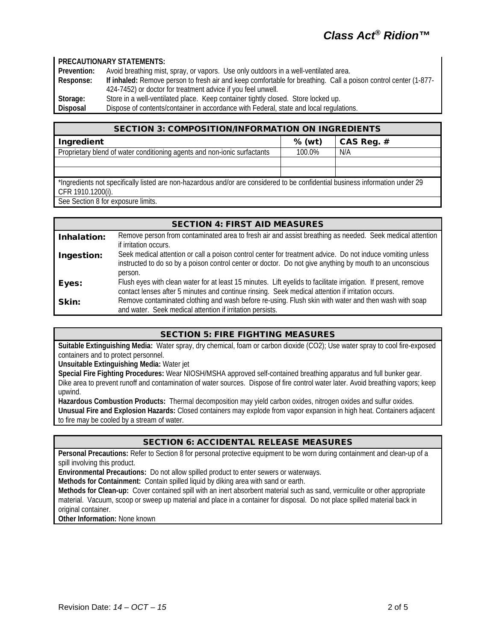#### **PRECAUTIONARY STATEMENTS:**

**Prevention:** Avoid breathing mist, spray, or vapors. Use only outdoors in a well-ventilated area.<br>**Response: If inhaled:** Remove person to fresh air and keep comfortable for breathing. Call a p **Response: If inhaled:** Remove person to fresh air and keep comfortable for breathing. Call a poison control center (1-877- 424-7452) or doctor for treatment advice if you feel unwell. Storage: Store in a well-ventilated place. Keep container tightly closed. Store locked up.<br>Disposal Dispose of contents/container in accordance with Federal, state and local regula Dispose of contents/container in accordance with Federal, state and local regulations.

SECTION 3: COMPOSITION/INFORMATION ON INGREDIENTS

| <u>JECTION J. COMFOJI HONMINI OKMATION ON INOKEDIENTJ</u>                                                                                          |          |              |
|----------------------------------------------------------------------------------------------------------------------------------------------------|----------|--------------|
| Ingredient                                                                                                                                         | $%$ (wt) | CAS Reg. $#$ |
| Proprietary blend of water conditioning agents and non-ionic surfactants                                                                           | 100.0%   | N/A          |
|                                                                                                                                                    |          |              |
|                                                                                                                                                    |          |              |
| *Ingredients not specifically listed are non-hazardous and/or are considered to be confidential business information under 29<br>CFR 1910.1200(i). |          |              |
| See Section 8 for exposure limits.                                                                                                                 |          |              |

| <b>SECTION 4: FIRST AID MEASURES</b> |                                                                                                                |  |  |  |
|--------------------------------------|----------------------------------------------------------------------------------------------------------------|--|--|--|
| Inhalation:                          | Remove person from contaminated area to fresh air and assist breathing as needed. Seek medical attention       |  |  |  |
|                                      | if irritation occurs.                                                                                          |  |  |  |
| Ingestion:                           | Seek medical attention or call a poison control center for treatment advice. Do not induce vomiting unless     |  |  |  |
|                                      | instructed to do so by a poison control center or doctor. Do not give anything by mouth to an unconscious      |  |  |  |
|                                      | person.                                                                                                        |  |  |  |
| Eyes:                                | Flush eyes with clean water for at least 15 minutes. Lift eyelids to facilitate irrigation. If present, remove |  |  |  |
|                                      | contact lenses after 5 minutes and continue rinsing. Seek medical attention if irritation occurs.              |  |  |  |
| Skin:                                | Remove contaminated clothing and wash before re-using. Flush skin with water and then wash with soap           |  |  |  |
|                                      | and water. Seek medical attention if irritation persists.                                                      |  |  |  |

## SECTION 5: FIRE FIGHTING MEASURES

**Suitable Extinguishing Media:** Water spray, dry chemical, foam or carbon dioxide (CO2); Use water spray to cool fire-exposed containers and to protect personnel.

**Unsuitable Extinguishing Media:** Water jet

**Special Fire Fighting Procedures:** Wear NIOSH/MSHA approved self-contained breathing apparatus and full bunker gear. Dike area to prevent runoff and contamination of water sources. Dispose of fire control water later. Avoid breathing vapors; keep upwind.

**Hazardous Combustion Products:** Thermal decomposition may yield carbon oxides, nitrogen oxides and sulfur oxides. **Unusual Fire and Explosion Hazards:** Closed containers may explode from vapor expansion in high heat. Containers adjacent to fire may be cooled by a stream of water.

## SECTION 6: ACCIDENTAL RELEASE MEASURES

**Personal Precautions:** Refer to Section 8 for personal protective equipment to be worn during containment and clean-up of a spill involving this product.

**Environmental Precautions:** Do not allow spilled product to enter sewers or waterways.

**Methods for Containment:** Contain spilled liquid by diking area with sand or earth.

**Methods for Clean-up:** Cover contained spill with an inert absorbent material such as sand, vermiculite or other appropriate material. Vacuum, scoop or sweep up material and place in a container for disposal. Do not place spilled material back in original container.

**Other Information:** None known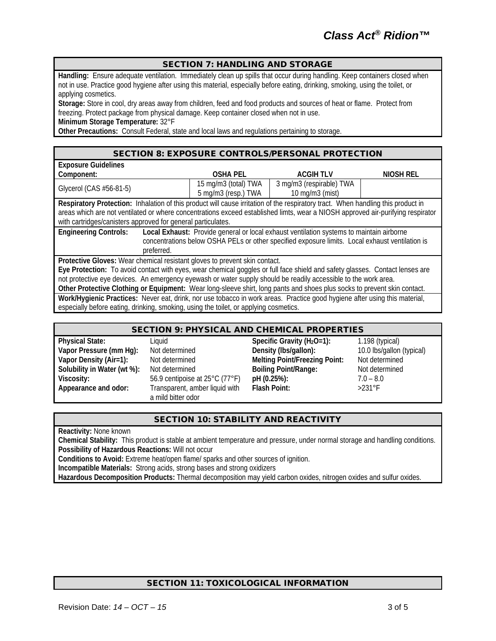### SECTION 7: HANDLING AND STORAGE

**Handling:** Ensure adequate ventilation. Immediately clean up spills that occur during handling. Keep containers closed when not in use. Practice good hygiene after using this material, especially before eating, drinking, smoking, using the toilet, or applying cosmetics.

**Storage:** Store in cool, dry areas away from children, feed and food products and sources of heat or flame. Protect from freezing. Protect package from physical damage. Keep container closed when not in use.

**Minimum Storage Temperature:** 32°F

**Other Precautions:** Consult Federal, state and local laws and regulations pertaining to storage.

#### SECTION 8: EXPOSURE CONTROLS/PERSONAL PROTECTION

| <b>Exposure Guidelines</b>                                                                                                       |                      |                          |           |  |
|----------------------------------------------------------------------------------------------------------------------------------|----------------------|--------------------------|-----------|--|
| Component:                                                                                                                       | <b>OSHA PEL</b>      | <b>ACGIH TLV</b>         | NIOSH REL |  |
| Glycerol (CAS #56-81-5)                                                                                                          | 15 mg/m3 (total) TWA | 3 mg/m3 (respirable) TWA |           |  |
|                                                                                                                                  | 5 mg/m3 (resp.) TWA  | 10 mg/m3 (mist)          |           |  |
| Respiratory Protection: Inhalation of this product will cause irritation of the respiratory tract. When handling this product in |                      |                          |           |  |
| areas which are not ventilated or where concentrations exceed established limts, wear a NIOSH approved air-purifying respirator  |                      |                          |           |  |
| with cartridges/canisters approved for general particulates.                                                                     |                      |                          |           |  |
| <b>Engineering Controls:</b><br>Local Exhaust: Provide general or local exhaust ventilation systems to maintain airborne         |                      |                          |           |  |
| concentrations below OSHA PELs or other specified exposure limits. Local exhaust ventilation is                                  |                      |                          |           |  |
| preferred.                                                                                                                       |                      |                          |           |  |
| Protective Gloves: Wear chemical resistant gloves to prevent skin contact.                                                       |                      |                          |           |  |
| Eye Protection: To avoid contact with eyes, wear chemical goggles or full face shield and safety glasses. Contact lenses are     |                      |                          |           |  |
| not protective eye devices. An emergency eyewash or water supply should be readily accessible to the work area.                  |                      |                          |           |  |
| Other Protective Clothing or Equipment: Wear long-sleeve shirt, long pants and shoes plus socks to prevent skin contact.         |                      |                          |           |  |
| Work/Hygienic Practices: Never eat, drink, nor use tobacco in work areas. Practice good hygiene after using this material,       |                      |                          |           |  |
| especially before eating, drinking, smoking, using the toilet, or applying cosmetics.                                            |                      |                          |           |  |

## SECTION 9: PHYSICAL AND CHEMICAL PROPERTIES

| <b>Physical State:</b>      |  |  |
|-----------------------------|--|--|
| Vapor Pressure (mm Hg):     |  |  |
| Vapor Density (Air=1):      |  |  |
| Solubility in Water (wt %): |  |  |
| Viscosity:                  |  |  |
| Appearance and odor:        |  |  |
|                             |  |  |

Not determined **Boiling Point/Range:** Transparent, amber liquid with a mild bitter odor

**Physical State:** Liquid **Specific Gravity (H2O=1):** 1.198 (typical) Not determined **Density** (Ibs/gallon): 10.0 lbs/gallon (typical) **Value Commined Melting Point/Freezing Point: Not determined<br>1) Not determined Boiling Point/Range: Not determined Viscosity:** 56.9 centipoise at 25°C (77°F) **pH (0.25%):** 7.0 – 8.0 **Flash Point:** 

## SECTION 10: STABILITY AND REACTIVITY

**Reactivity:** None known

**Chemical Stability:** This product is stable at ambient temperature and pressure, under normal storage and handling conditions. **Possibility of Hazardous Reactions:** Will not occur

**Conditions to Avoid:** Extreme heat/open flame/ sparks and other sources of ignition.

**Incompatible Materials:** Strong acids, strong bases and strong oxidizers

**Hazardous Decomposition Products:** Thermal decomposition may yield carbon oxides, nitrogen oxides and sulfur oxides.

## SECTION 11: TOXICOLOGICAL INFORMATION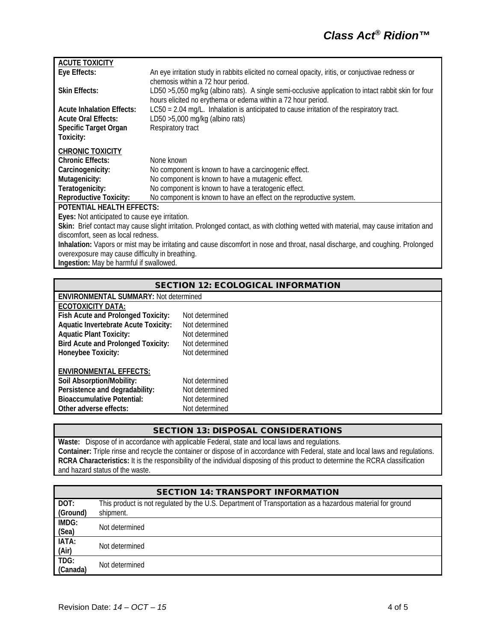| <b>ACUTE TOXICITY</b>                                                                                                               |                                                                                                     |  |  |
|-------------------------------------------------------------------------------------------------------------------------------------|-----------------------------------------------------------------------------------------------------|--|--|
| Eye Effects:                                                                                                                        | An eye irritation study in rabbits elicited no corneal opacity, iritis, or conjuctivae redness or   |  |  |
|                                                                                                                                     | chemosis within a 72 hour period.                                                                   |  |  |
| <b>Skin Effects:</b>                                                                                                                | LD50 >5,050 mg/kg (albino rats). A single semi-occlusive application to intact rabbit skin for four |  |  |
|                                                                                                                                     | hours elicited no erythema or edema within a 72 hour period.                                        |  |  |
| <b>Acute Inhalation Effects:</b>                                                                                                    | LC50 = 2.04 mg/L. Inhalation is anticipated to cause irritation of the respiratory tract.           |  |  |
| <b>Acute Oral Effects:</b>                                                                                                          | LD50 >5,000 mg/kg (albino rats)                                                                     |  |  |
| Specific Target Organ                                                                                                               | Respiratory tract                                                                                   |  |  |
| Toxicity:                                                                                                                           |                                                                                                     |  |  |
| <b>CHRONIC TOXICITY</b>                                                                                                             |                                                                                                     |  |  |
| <b>Chronic Effects:</b>                                                                                                             | None known                                                                                          |  |  |
| Carcinogenicity:                                                                                                                    | No component is known to have a carcinogenic effect.                                                |  |  |
| Mutagenicity:                                                                                                                       | No component is known to have a mutagenic effect.                                                   |  |  |
| Teratogenicity:                                                                                                                     | No component is known to have a teratogenic effect.                                                 |  |  |
| <b>Reproductive Toxicity:</b>                                                                                                       | No component is known to have an effect on the reproductive system.                                 |  |  |
| POTENTIAL HEALTH EFFECTS:                                                                                                           |                                                                                                     |  |  |
| Eyes: Not anticipated to cause eye irritation.                                                                                      |                                                                                                     |  |  |
| Skin: Brief contact may cause slight irritation. Prolonged contact, as with clothing wetted with material, may cause irritation and |                                                                                                     |  |  |
| discomfort, seen as local redness.                                                                                                  |                                                                                                     |  |  |
| Inhalation: Vapors or mist may be irritating and cause discomfort in nose and throat, nasal discharge, and coughing. Prolonged      |                                                                                                     |  |  |
| overexposure may cause difficulty in breathing.                                                                                     |                                                                                                     |  |  |
| Ingestion: May be harmful if swallowed.                                                                                             |                                                                                                     |  |  |
|                                                                                                                                     |                                                                                                     |  |  |

| <b>SECTION 12: ECOLOGICAL INFORMATION</b> |                                              |  |  |  |
|-------------------------------------------|----------------------------------------------|--|--|--|
|                                           | <b>ENVIRONMENTAL SUMMARY: Not determined</b> |  |  |  |
| ECOTOXICITY DATA:                         |                                              |  |  |  |
| Fish Acute and Prolonged Toxicity:        | Not determined                               |  |  |  |
| Aquatic Invertebrate Acute Toxicity:      | Not determined                               |  |  |  |
| <b>Aquatic Plant Toxicity:</b>            | Not determined                               |  |  |  |
| <b>Bird Acute and Prolonged Toxicity:</b> | Not determined                               |  |  |  |
| Honeybee Toxicity:                        | Not determined                               |  |  |  |
| <b>ENVIRONMENTAL EFFECTS:</b>             |                                              |  |  |  |
| Soil Absorption/Mobility:                 | Not determined                               |  |  |  |
| Persistence and degradability:            | Not determined                               |  |  |  |
| <b>Bioaccumulative Potential:</b>         | Not determined                               |  |  |  |
| Other adverse effects:                    | Not determined                               |  |  |  |
|                                           |                                              |  |  |  |

#### SECTION 13: DISPOSAL CONSIDERATIONS

**Waste:** Dispose of in accordance with applicable Federal, state and local laws and regulations. **Container:** Triple rinse and recycle the container or dispose of in accordance with Federal, state and local laws and regulations. **RCRA Characteristics:** It is the responsibility of the individual disposing of this product to determine the RCRA classification and hazard status of the waste.

|  |  | <b>SECTION 14: TRANSPORT INFORMATION</b> |
|--|--|------------------------------------------|
|--|--|------------------------------------------|

| DOT:     | This product is not regulated by the U.S. Department of Transportation as a hazardous material for ground |
|----------|-----------------------------------------------------------------------------------------------------------|
| (Ground) | shipment.                                                                                                 |
| IMDG:    | Not determined                                                                                            |
| (Sea)    |                                                                                                           |
| IATA:    | Not determined                                                                                            |
| (Air)    |                                                                                                           |
| TDG:     | Not determined                                                                                            |
| (Canada) |                                                                                                           |